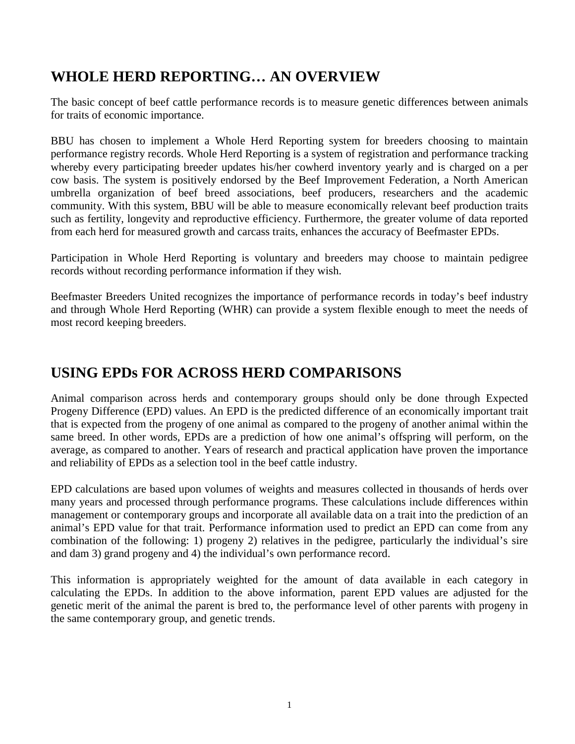# **WHOLE HERD REPORTING… AN OVERVIEW**

The basic concept of beef cattle performance records is to measure genetic differences between animals for traits of economic importance.

BBU has chosen to implement a Whole Herd Reporting system for breeders choosing to maintain performance registry records. Whole Herd Reporting is a system of registration and performance tracking whereby every participating breeder updates his/her cowherd inventory yearly and is charged on a per cow basis. The system is positively endorsed by the Beef Improvement Federation, a North American umbrella organization of beef breed associations, beef producers, researchers and the academic community. With this system, BBU will be able to measure economically relevant beef production traits such as fertility, longevity and reproductive efficiency. Furthermore, the greater volume of data reported from each herd for measured growth and carcass traits, enhances the accuracy of Beefmaster EPDs.

Participation in Whole Herd Reporting is voluntary and breeders may choose to maintain pedigree records without recording performance information if they wish.

Beefmaster Breeders United recognizes the importance of performance records in today's beef industry and through Whole Herd Reporting (WHR) can provide a system flexible enough to meet the needs of most record keeping breeders.

## **USING EPDs FOR ACROSS HERD COMPARISONS**

Animal comparison across herds and contemporary groups should only be done through Expected Progeny Difference (EPD) values. An EPD is the predicted difference of an economically important trait that is expected from the progeny of one animal as compared to the progeny of another animal within the same breed. In other words, EPDs are a prediction of how one animal's offspring will perform, on the average, as compared to another. Years of research and practical application have proven the importance and reliability of EPDs as a selection tool in the beef cattle industry.

EPD calculations are based upon volumes of weights and measures collected in thousands of herds over many years and processed through performance programs. These calculations include differences within management or contemporary groups and incorporate all available data on a trait into the prediction of an animal's EPD value for that trait. Performance information used to predict an EPD can come from any combination of the following: 1) progeny 2) relatives in the pedigree, particularly the individual's sire and dam 3) grand progeny and 4) the individual's own performance record.

This information is appropriately weighted for the amount of data available in each category in calculating the EPDs. In addition to the above information, parent EPD values are adjusted for the genetic merit of the animal the parent is bred to, the performance level of other parents with progeny in the same contemporary group, and genetic trends.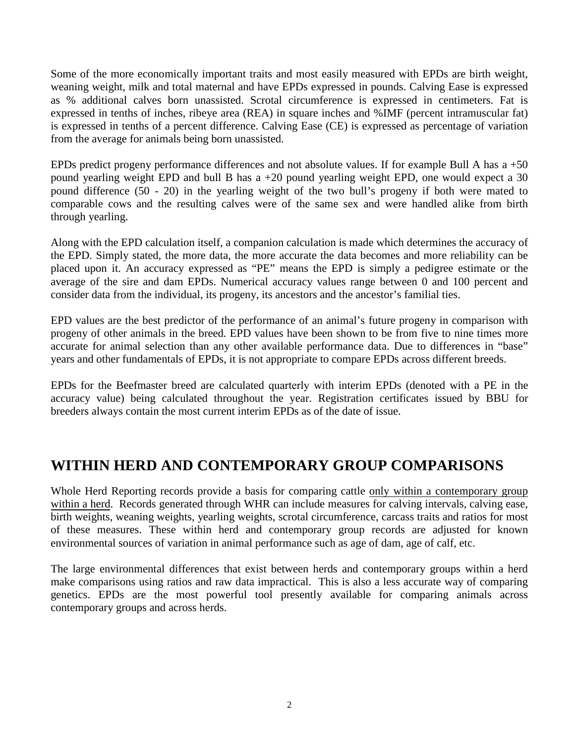Some of the more economically important traits and most easily measured with EPDs are birth weight, weaning weight, milk and total maternal and have EPDs expressed in pounds. Calving Ease is expressed as % additional calves born unassisted. Scrotal circumference is expressed in centimeters. Fat is expressed in tenths of inches, ribeye area (REA) in square inches and %IMF (percent intramuscular fat) is expressed in tenths of a percent difference. Calving Ease (CE) is expressed as percentage of variation from the average for animals being born unassisted.

EPDs predict progeny performance differences and not absolute values. If for example Bull A has a +50 pound yearling weight EPD and bull B has a +20 pound yearling weight EPD, one would expect a 30 pound difference (50 - 20) in the yearling weight of the two bull's progeny if both were mated to comparable cows and the resulting calves were of the same sex and were handled alike from birth through yearling.

Along with the EPD calculation itself, a companion calculation is made which determines the accuracy of the EPD. Simply stated, the more data, the more accurate the data becomes and more reliability can be placed upon it. An accuracy expressed as "PE" means the EPD is simply a pedigree estimate or the average of the sire and dam EPDs. Numerical accuracy values range between 0 and 100 percent and consider data from the individual, its progeny, its ancestors and the ancestor's familial ties.

EPD values are the best predictor of the performance of an animal's future progeny in comparison with progeny of other animals in the breed. EPD values have been shown to be from five to nine times more accurate for animal selection than any other available performance data. Due to differences in "base" years and other fundamentals of EPDs, it is not appropriate to compare EPDs across different breeds.

EPDs for the Beefmaster breed are calculated quarterly with interim EPDs (denoted with a PE in the accuracy value) being calculated throughout the year. Registration certificates issued by BBU for breeders always contain the most current interim EPDs as of the date of issue.

#### **WITHIN HERD AND CONTEMPORARY GROUP COMPARISONS**

Whole Herd Reporting records provide a basis for comparing cattle only within a contemporary group within a herd. Records generated through WHR can include measures for calving intervals, calving ease, birth weights, weaning weights, yearling weights, scrotal circumference, carcass traits and ratios for most of these measures. These within herd and contemporary group records are adjusted for known environmental sources of variation in animal performance such as age of dam, age of calf, etc.

The large environmental differences that exist between herds and contemporary groups within a herd make comparisons using ratios and raw data impractical. This is also a less accurate way of comparing genetics. EPDs are the most powerful tool presently available for comparing animals across contemporary groups and across herds.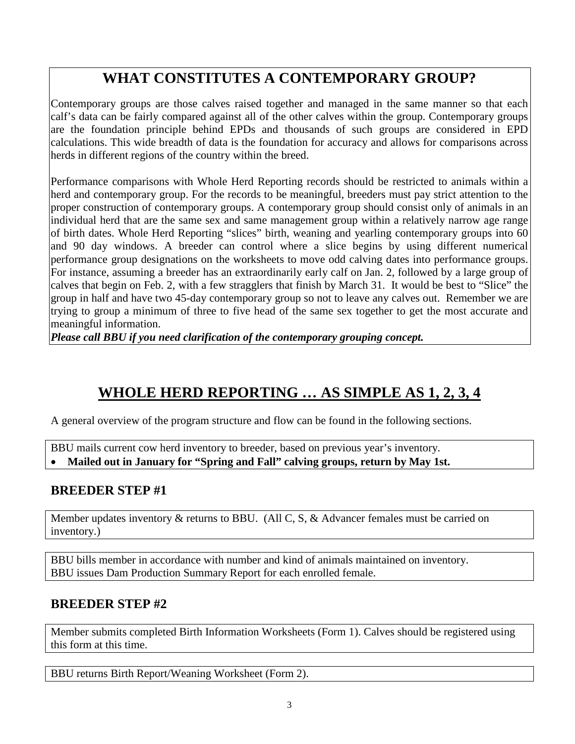# **WHAT CONSTITUTES A CONTEMPORARY GROUP?**

Contemporary groups are those calves raised together and managed in the same manner so that each calf's data can be fairly compared against all of the other calves within the group. Contemporary groups are the foundation principle behind EPDs and thousands of such groups are considered in EPD calculations. This wide breadth of data is the foundation for accuracy and allows for comparisons across herds in different regions of the country within the breed.

Performance comparisons with Whole Herd Reporting records should be restricted to animals within a herd and contemporary group. For the records to be meaningful, breeders must pay strict attention to the proper construction of contemporary groups. A contemporary group should consist only of animals in an individual herd that are the same sex and same management group within a relatively narrow age range of birth dates. Whole Herd Reporting "slices" birth, weaning and yearling contemporary groups into 60 and 90 day windows. A breeder can control where a slice begins by using different numerical performance group designations on the worksheets to move odd calving dates into performance groups. For instance, assuming a breeder has an extraordinarily early calf on Jan. 2, followed by a large group of calves that begin on Feb. 2, with a few stragglers that finish by March 31. It would be best to "Slice" the group in half and have two 45-day contemporary group so not to leave any calves out. Remember we are trying to group a minimum of three to five head of the same sex together to get the most accurate and meaningful information.

*Please call BBU if you need clarification of the contemporary grouping concept.* 

# **WHOLE HERD REPORTING … AS SIMPLE AS 1, 2, 3, 4**

A general overview of the program structure and flow can be found in the following sections.

BBU mails current cow herd inventory to breeder, based on previous year's inventory.

• **Mailed out in January for "Spring and Fall" calving groups, return by May 1st.**

#### **BREEDER STEP #1**

Member updates inventory & returns to BBU. (All C, S, & Advancer females must be carried on inventory.)

BBU bills member in accordance with number and kind of animals maintained on inventory. BBU issues Dam Production Summary Report for each enrolled female.

#### **BREEDER STEP #2**

Member submits completed Birth Information Worksheets (Form 1). Calves should be registered using this form at this time.

BBU returns Birth Report/Weaning Worksheet (Form 2).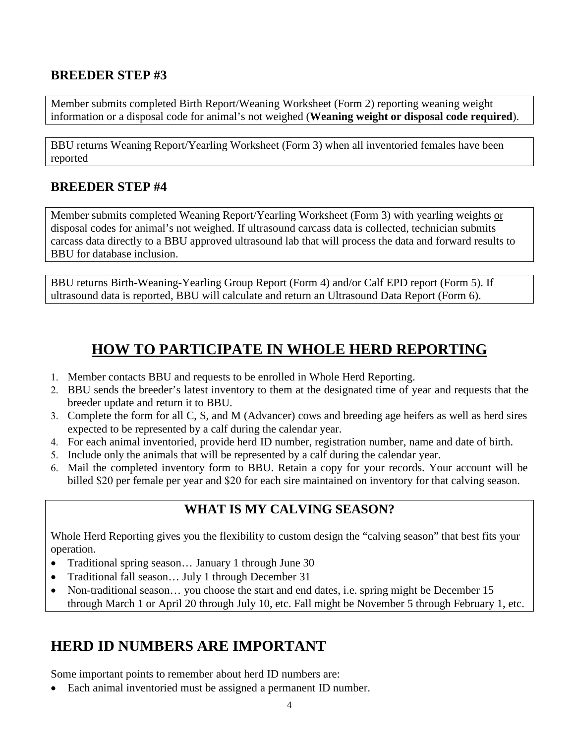#### **BREEDER STEP #3**

Member submits completed Birth Report/Weaning Worksheet (Form 2) reporting weaning weight information or a disposal code for animal's not weighed (**Weaning weight or disposal code required**).

BBU returns Weaning Report/Yearling Worksheet (Form 3) when all inventoried females have been reported

#### **BREEDER STEP #4**

Member submits completed Weaning Report/Yearling Worksheet (Form 3) with yearling weights or disposal codes for animal's not weighed. If ultrasound carcass data is collected, technician submits carcass data directly to a BBU approved ultrasound lab that will process the data and forward results to BBU for database inclusion.

BBU returns Birth-Weaning-Yearling Group Report (Form 4) and/or Calf EPD report (Form 5). If ultrasound data is reported, BBU will calculate and return an Ultrasound Data Report (Form 6).

# **HOW TO PARTICIPATE IN WHOLE HERD REPORTING**

- 1. Member contacts BBU and requests to be enrolled in Whole Herd Reporting.
- 2. BBU sends the breeder's latest inventory to them at the designated time of year and requests that the breeder update and return it to BBU.
- 3. Complete the form for all C, S, and M (Advancer) cows and breeding age heifers as well as herd sires expected to be represented by a calf during the calendar year.
- 4. For each animal inventoried, provide herd ID number, registration number, name and date of birth.
- 5. Include only the animals that will be represented by a calf during the calendar year.
- 6. Mail the completed inventory form to BBU. Retain a copy for your records. Your account will be billed \$20 per female per year and \$20 for each sire maintained on inventory for that calving season.

#### **WHAT IS MY CALVING SEASON?**

Whole Herd Reporting gives you the flexibility to custom design the "calving season" that best fits your operation.

- Traditional spring season… January 1 through June 30
- Traditional fall season… July 1 through December 31
- Non-traditional season… you choose the start and end dates, i.e. spring might be December 15 through March 1 or April 20 through July 10, etc. Fall might be November 5 through February 1, etc.

# **HERD ID NUMBERS ARE IMPORTANT**

Some important points to remember about herd ID numbers are:

• Each animal inventoried must be assigned a permanent ID number.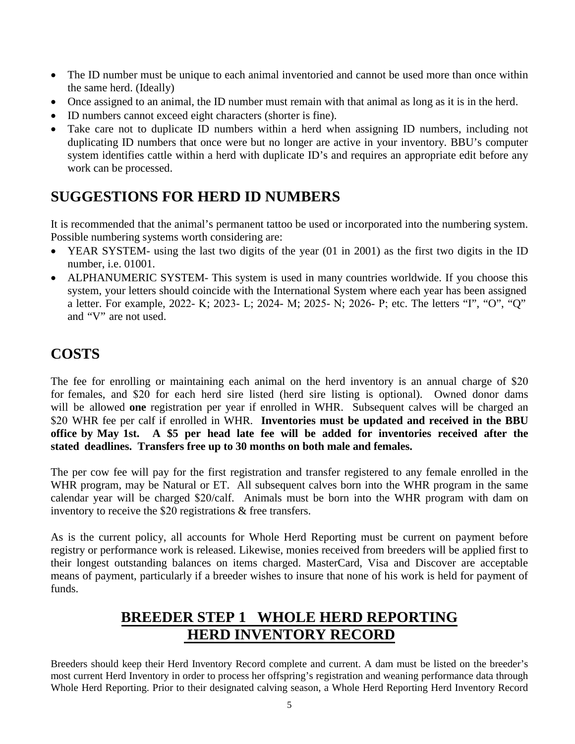- The ID number must be unique to each animal inventoried and cannot be used more than once within the same herd. (Ideally)
- Once assigned to an animal, the ID number must remain with that animal as long as it is in the herd.
- ID numbers cannot exceed eight characters (shorter is fine).
- Take care not to duplicate ID numbers within a herd when assigning ID numbers, including not duplicating ID numbers that once were but no longer are active in your inventory. BBU's computer system identifies cattle within a herd with duplicate ID's and requires an appropriate edit before any work can be processed.

#### **SUGGESTIONS FOR HERD ID NUMBERS**

It is recommended that the animal's permanent tattoo be used or incorporated into the numbering system. Possible numbering systems worth considering are:

- YEAR SYSTEM- using the last two digits of the year (01 in 2001) as the first two digits in the ID number, i.e. 01001.
- ALPHANUMERIC SYSTEM- This system is used in many countries worldwide. If you choose this system, your letters should coincide with the International System where each year has been assigned a letter. For example, 2022- K; 2023- L; 2024- M; 2025- N; 2026- P; etc. The letters "I", "O", "Q" and "V" are not used.

## **COSTS**

The fee for enrolling or maintaining each animal on the herd inventory is an annual charge of \$20 for females, and \$20 for each herd sire listed (herd sire listing is optional). Owned donor dams will be allowed **one** registration per year if enrolled in WHR. Subsequent calves will be charged an \$20 WHR fee per calf if enrolled in WHR. **Inventories must be updated and received in the BBU office by May 1st. A \$5 per head late fee will be added for inventories received after the stated deadlines. Transfers free up to 30 months on both male and females.**

The per cow fee will pay for the first registration and transfer registered to any female enrolled in the WHR program, may be Natural or ET. All subsequent calves born into the WHR program in the same calendar year will be charged \$20/calf. Animals must be born into the WHR program with dam on inventory to receive the \$20 registrations & free transfers.

As is the current policy, all accounts for Whole Herd Reporting must be current on payment before registry or performance work is released. Likewise, monies received from breeders will be applied first to their longest outstanding balances on items charged. MasterCard, Visa and Discover are acceptable means of payment, particularly if a breeder wishes to insure that none of his work is held for payment of funds.

# **BREEDER STEP 1 WHOLE HERD REPORTING HERD INVENTORY RECORD**

Breeders should keep their Herd Inventory Record complete and current. A dam must be listed on the breeder's most current Herd Inventory in order to process her offspring's registration and weaning performance data through Whole Herd Reporting. Prior to their designated calving season, a Whole Herd Reporting Herd Inventory Record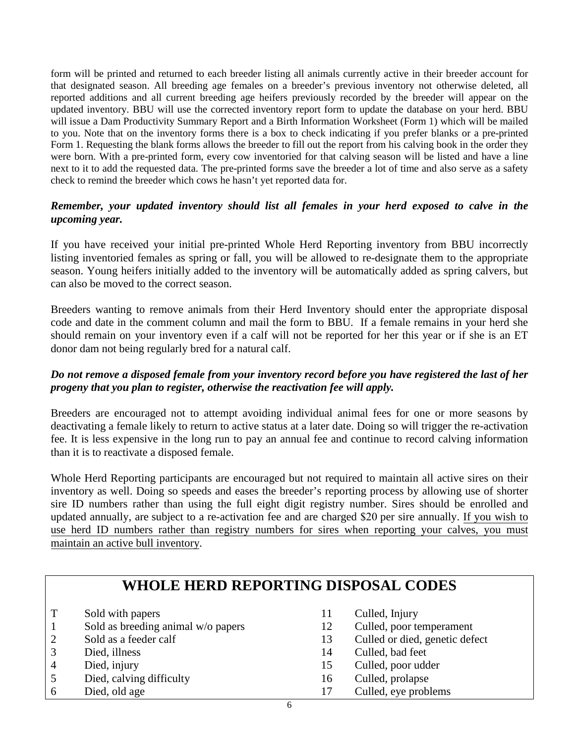form will be printed and returned to each breeder listing all animals currently active in their breeder account for that designated season. All breeding age females on a breeder's previous inventory not otherwise deleted, all reported additions and all current breeding age heifers previously recorded by the breeder will appear on the updated inventory. BBU will use the corrected inventory report form to update the database on your herd. BBU will issue a Dam Productivity Summary Report and a Birth Information Worksheet (Form 1) which will be mailed to you. Note that on the inventory forms there is a box to check indicating if you prefer blanks or a pre-printed Form 1. Requesting the blank forms allows the breeder to fill out the report from his calving book in the order they were born. With a pre-printed form, every cow inventoried for that calving season will be listed and have a line next to it to add the requested data. The pre-printed forms save the breeder a lot of time and also serve as a safety check to remind the breeder which cows he hasn't yet reported data for.

#### *Remember, your updated inventory should list all females in your herd exposed to calve in the upcoming year.*

If you have received your initial pre-printed Whole Herd Reporting inventory from BBU incorrectly listing inventoried females as spring or fall, you will be allowed to re-designate them to the appropriate season. Young heifers initially added to the inventory will be automatically added as spring calvers, but can also be moved to the correct season.

Breeders wanting to remove animals from their Herd Inventory should enter the appropriate disposal code and date in the comment column and mail the form to BBU. If a female remains in your herd she should remain on your inventory even if a calf will not be reported for her this year or if she is an ET donor dam not being regularly bred for a natural calf.

#### *Do not remove a disposed female from your inventory record before you have registered the last of her progeny that you plan to register, otherwise the reactivation fee will apply.*

Breeders are encouraged not to attempt avoiding individual animal fees for one or more seasons by deactivating a female likely to return to active status at a later date. Doing so will trigger the re-activation fee. It is less expensive in the long run to pay an annual fee and continue to record calving information than it is to reactivate a disposed female.

Whole Herd Reporting participants are encouraged but not required to maintain all active sires on their inventory as well. Doing so speeds and eases the breeder's reporting process by allowing use of shorter sire ID numbers rather than using the full eight digit registry number. Sires should be enrolled and updated annually, are subject to a re-activation fee and are charged \$20 per sire annually. If you wish to use herd ID numbers rather than registry numbers for sires when reporting your calves, you must maintain an active bull inventory.

| <b>WHOLE HERD REPORTING DISPOSAL CODES</b> |                                    |    |                                |  |
|--------------------------------------------|------------------------------------|----|--------------------------------|--|
|                                            | Sold with papers                   | 11 | Culled, Injury                 |  |
|                                            | Sold as breeding animal w/o papers | 12 | Culled, poor temperament       |  |
| 2                                          | Sold as a feeder calf              | 13 | Culled or died, genetic defect |  |
| 3                                          | Died, illness                      | 14 | Culled, bad feet               |  |
| $\overline{4}$                             | Died, injury                       | 15 | Culled, poor udder             |  |
|                                            | Died, calving difficulty           | 16 | Culled, prolapse               |  |
| 6                                          | Died, old age                      | 17 | Culled, eye problems           |  |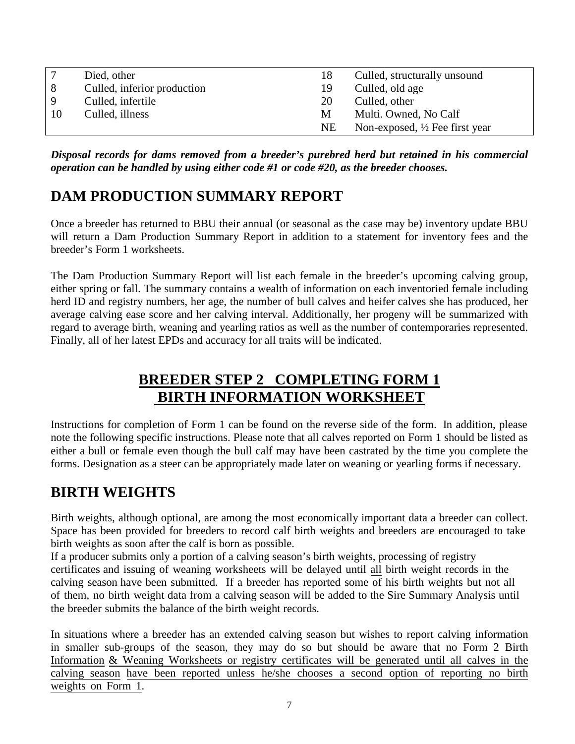|    | Died, other                 | 18 | Culled, structurally unsound              |
|----|-----------------------------|----|-------------------------------------------|
| 8  | Culled, inferior production | 19 | Culled, old age                           |
| -9 | Culled, infertile           | 20 | Culled, other                             |
| 10 | Culled, illness             | M  | Multi. Owned, No Calf                     |
|    |                             | NE | Non-exposed, $\frac{1}{2}$ Fee first year |

*Disposal records for dams removed from a breeder's purebred herd but retained in his commercial operation can be handled by using either code #1 or code #20, as the breeder chooses.* 

# **DAM PRODUCTION SUMMARY REPORT**

Once a breeder has returned to BBU their annual (or seasonal as the case may be) inventory update BBU will return a Dam Production Summary Report in addition to a statement for inventory fees and the breeder's Form 1 worksheets.

The Dam Production Summary Report will list each female in the breeder's upcoming calving group, either spring or fall. The summary contains a wealth of information on each inventoried female including herd ID and registry numbers, her age, the number of bull calves and heifer calves she has produced, her average calving ease score and her calving interval. Additionally, her progeny will be summarized with regard to average birth, weaning and yearling ratios as well as the number of contemporaries represented. Finally, all of her latest EPDs and accuracy for all traits will be indicated.

# **BREEDER STEP 2 COMPLETING FORM 1 BIRTH INFORMATION WORKSHEET**

Instructions for completion of Form 1 can be found on the reverse side of the form. In addition, please note the following specific instructions. Please note that all calves reported on Form 1 should be listed as either a bull or female even though the bull calf may have been castrated by the time you complete the forms. Designation as a steer can be appropriately made later on weaning or yearling forms if necessary.

# **BIRTH WEIGHTS**

Birth weights, although optional, are among the most economically important data a breeder can collect. Space has been provided for breeders to record calf birth weights and breeders are encouraged to take birth weights as soon after the calf is born as possible.

If a producer submits only a portion of a calving season's birth weights, processing of registry certificates and issuing of weaning worksheets will be delayed until all birth weight records in the calving season have been submitted. If a breeder has reported some of his birth weights but not all of them, no birth weight data from a calving season will be added to the Sire Summary Analysis until the breeder submits the balance of the birth weight records.

In situations where a breeder has an extended calving season but wishes to report calving information in smaller sub-groups of the season, they may do so but should be aware that no Form 2 Birth Information & Weaning Worksheets or registry certificates will be generated until all calves in the calving season have been reported unless he/she chooses a second option of reporting no birth weights on Form 1.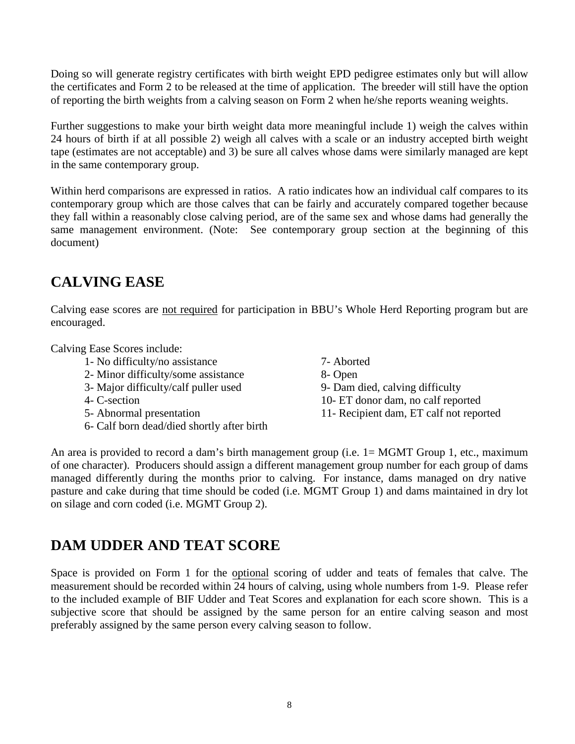Doing so will generate registry certificates with birth weight EPD pedigree estimates only but will allow the certificates and Form 2 to be released at the time of application. The breeder will still have the option of reporting the birth weights from a calving season on Form 2 when he/she reports weaning weights.

Further suggestions to make your birth weight data more meaningful include 1) weigh the calves within 24 hours of birth if at all possible 2) weigh all calves with a scale or an industry accepted birth weight tape (estimates are not acceptable) and 3) be sure all calves whose dams were similarly managed are kept in the same contemporary group.

Within herd comparisons are expressed in ratios. A ratio indicates how an individual calf compares to its contemporary group which are those calves that can be fairly and accurately compared together because they fall within a reasonably close calving period, are of the same sex and whose dams had generally the same management environment. (Note: See contemporary group section at the beginning of this document)

## **CALVING EASE**

Calving ease scores are not required for participation in BBU's Whole Herd Reporting program but are encouraged.

Calving Ease Scores include:

1- No difficulty/no assistance 7- Aborted 2- Minor difficulty/some assistance <br>
3- Maior difficulty/calf puller used<br>
9- Dam died, calving difficulty 3- Major difficulty/calf puller used 4- C-section 10- ET donor dam, no calf reported 5- Abnormal presentation 11- Recipient dam, ET calf not reported 6- Calf born dead/died shortly after birth

An area is provided to record a dam's birth management group (i.e. 1= MGMT Group 1, etc., maximum of one character). Producers should assign a different management group number for each group of dams managed differently during the months prior to calving. For instance, dams managed on dry native pasture and cake during that time should be coded (i.e. MGMT Group 1) and dams maintained in dry lot on silage and corn coded (i.e. MGMT Group 2).

#### **DAM UDDER AND TEAT SCORE**

Space is provided on Form 1 for the optional scoring of udder and teats of females that calve. The measurement should be recorded within 24 hours of calving, using whole numbers from 1-9. Please refer to the included example of BIF Udder and Teat Scores and explanation for each score shown. This is a subjective score that should be assigned by the same person for an entire calving season and most preferably assigned by the same person every calving season to follow.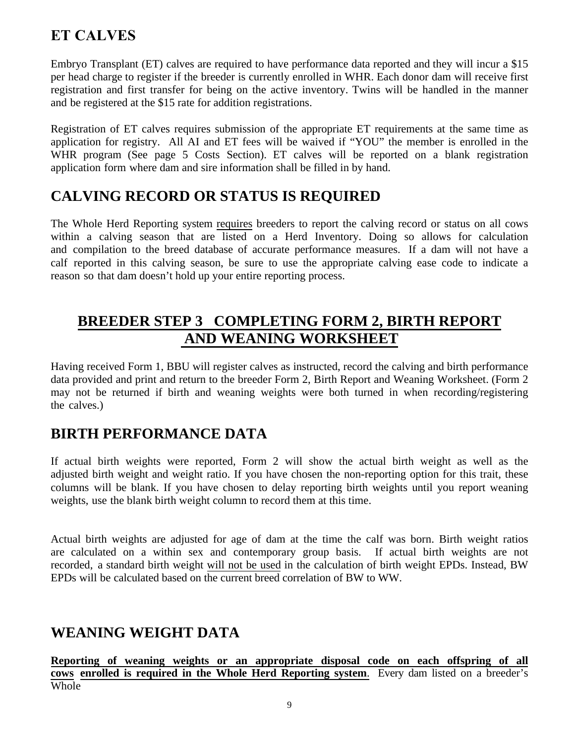# **ET CALVES**

Embryo Transplant (ET) calves are required to have performance data reported and they will incur a \$15 per head charge to register if the breeder is currently enrolled in WHR. Each donor dam will receive first registration and first transfer for being on the active inventory. Twins will be handled in the manner and be registered at the \$15 rate for addition registrations.

Registration of ET calves requires submission of the appropriate ET requirements at the same time as application for registry. All AI and ET fees will be waived if "YOU" the member is enrolled in the WHR program (See page 5 Costs Section). ET calves will be reported on a blank registration application form where dam and sire information shall be filled in by hand.

# **CALVING RECORD OR STATUS IS REQUIRED**

The Whole Herd Reporting system requires breeders to report the calving record or status on all cows within a calving season that are listed on a Herd Inventory. Doing so allows for calculation and compilation to the breed database of accurate performance measures. If a dam will not have a calf reported in this calving season, be sure to use the appropriate calving ease code to indicate a reason so that dam doesn't hold up your entire reporting process.

# **BREEDER STEP 3 COMPLETING FORM 2, BIRTH REPORT AND WEANING WORKSHEET**

Having received Form 1, BBU will register calves as instructed, record the calving and birth performance data provided and print and return to the breeder Form 2, Birth Report and Weaning Worksheet. (Form 2 may not be returned if birth and weaning weights were both turned in when recording/registering the calves.)

# **BIRTH PERFORMANCE DATA**

If actual birth weights were reported, Form 2 will show the actual birth weight as well as the adjusted birth weight and weight ratio. If you have chosen the non-reporting option for this trait, these columns will be blank. If you have chosen to delay reporting birth weights until you report weaning weights, use the blank birth weight column to record them at this time.

Actual birth weights are adjusted for age of dam at the time the calf was born. Birth weight ratios are calculated on a within sex and contemporary group basis. If actual birth weights are not recorded, a standard birth weight will not be used in the calculation of birth weight EPDs. Instead, BW EPDs will be calculated based on the current breed correlation of BW to WW.

#### **WEANING WEIGHT DATA**

**Reporting of weaning weights or an appropriate disposal code on each offspring of all cows enrolled is required in the Whole Herd Reporting system**. Every dam listed on a breeder's Whole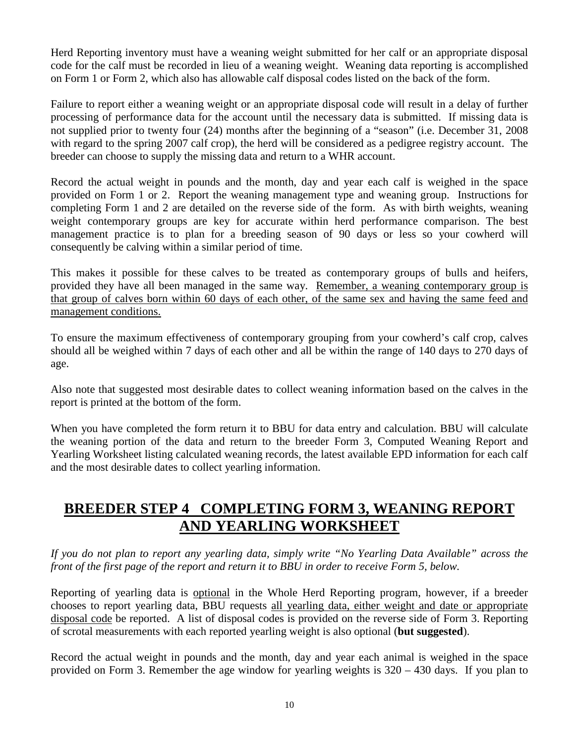Herd Reporting inventory must have a weaning weight submitted for her calf or an appropriate disposal code for the calf must be recorded in lieu of a weaning weight. Weaning data reporting is accomplished on Form 1 or Form 2, which also has allowable calf disposal codes listed on the back of the form.

Failure to report either a weaning weight or an appropriate disposal code will result in a delay of further processing of performance data for the account until the necessary data is submitted. If missing data is not supplied prior to twenty four (24) months after the beginning of a "season" (i.e. December 31, 2008 with regard to the spring 2007 calf crop), the herd will be considered as a pedigree registry account. The breeder can choose to supply the missing data and return to a WHR account.

Record the actual weight in pounds and the month, day and year each calf is weighed in the space provided on Form 1 or 2. Report the weaning management type and weaning group. Instructions for completing Form 1 and 2 are detailed on the reverse side of the form. As with birth weights, weaning weight contemporary groups are key for accurate within herd performance comparison. The best management practice is to plan for a breeding season of 90 days or less so your cowherd will consequently be calving within a similar period of time.

This makes it possible for these calves to be treated as contemporary groups of bulls and heifers, provided they have all been managed in the same way. Remember, a weaning contemporary group is that group of calves born within 60 days of each other, of the same sex and having the same feed and management conditions.

To ensure the maximum effectiveness of contemporary grouping from your cowherd's calf crop, calves should all be weighed within 7 days of each other and all be within the range of 140 days to 270 days of age.

Also note that suggested most desirable dates to collect weaning information based on the calves in the report is printed at the bottom of the form.

When you have completed the form return it to BBU for data entry and calculation. BBU will calculate the weaning portion of the data and return to the breeder Form 3, Computed Weaning Report and Yearling Worksheet listing calculated weaning records, the latest available EPD information for each calf and the most desirable dates to collect yearling information.

## **BREEDER STEP 4 COMPLETING FORM 3, WEANING REPORT AND YEARLING WORKSHEET**

*If you do not plan to report any yearling data, simply write "No Yearling Data Available" across the front of the first page of the report and return it to BBU in order to receive Form 5, below.* 

Reporting of yearling data is optional in the Whole Herd Reporting program, however, if a breeder chooses to report yearling data, BBU requests all yearling data, either weight and date or appropriate disposal code be reported. A list of disposal codes is provided on the reverse side of Form 3. Reporting of scrotal measurements with each reported yearling weight is also optional (**but suggested**).

Record the actual weight in pounds and the month, day and year each animal is weighed in the space provided on Form 3. Remember the age window for yearling weights is 320 – 430 days. If you plan to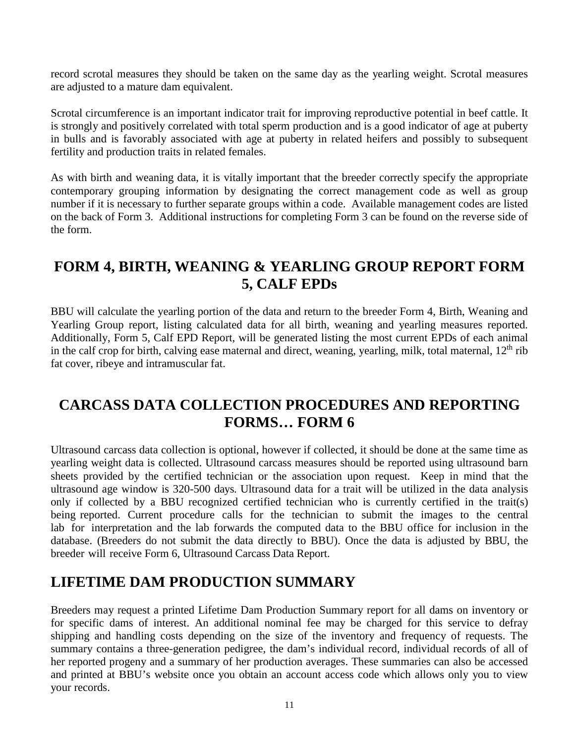record scrotal measures they should be taken on the same day as the yearling weight. Scrotal measures are adjusted to a mature dam equivalent.

Scrotal circumference is an important indicator trait for improving reproductive potential in beef cattle. It is strongly and positively correlated with total sperm production and is a good indicator of age at puberty in bulls and is favorably associated with age at puberty in related heifers and possibly to subsequent fertility and production traits in related females.

As with birth and weaning data, it is vitally important that the breeder correctly specify the appropriate contemporary grouping information by designating the correct management code as well as group number if it is necessary to further separate groups within a code. Available management codes are listed on the back of Form 3. Additional instructions for completing Form 3 can be found on the reverse side of the form.

### **FORM 4, BIRTH, WEANING & YEARLING GROUP REPORT FORM 5, CALF EPDs**

BBU will calculate the yearling portion of the data and return to the breeder Form 4, Birth, Weaning and Yearling Group report, listing calculated data for all birth, weaning and yearling measures reported. Additionally, Form 5, Calf EPD Report, will be generated listing the most current EPDs of each animal in the calf crop for birth, calving ease maternal and direct, weaning, yearling, milk, total maternal,  $12<sup>th</sup>$  rib fat cover, ribeye and intramuscular fat.

#### **CARCASS DATA COLLECTION PROCEDURES AND REPORTING FORMS… FORM 6**

Ultrasound carcass data collection is optional, however if collected, it should be done at the same time as yearling weight data is collected. Ultrasound carcass measures should be reported using ultrasound barn sheets provided by the certified technician or the association upon request. Keep in mind that the ultrasound age window is 320-500 days. Ultrasound data for a trait will be utilized in the data analysis only if collected by a BBU recognized certified technician who is currently certified in the trait(s) being reported. Current procedure calls for the technician to submit the images to the central lab for interpretation and the lab forwards the computed data to the BBU office for inclusion in the database. (Breeders do not submit the data directly to BBU). Once the data is adjusted by BBU, the breeder will receive Form 6, Ultrasound Carcass Data Report.

#### **LIFETIME DAM PRODUCTION SUMMARY**

Breeders may request a printed Lifetime Dam Production Summary report for all dams on inventory or for specific dams of interest. An additional nominal fee may be charged for this service to defray shipping and handling costs depending on the size of the inventory and frequency of requests. The summary contains a three-generation pedigree, the dam's individual record, individual records of all of her reported progeny and a summary of her production averages. These summaries can also be accessed and printed at BBU's website once you obtain an account access code which allows only you to view your records.